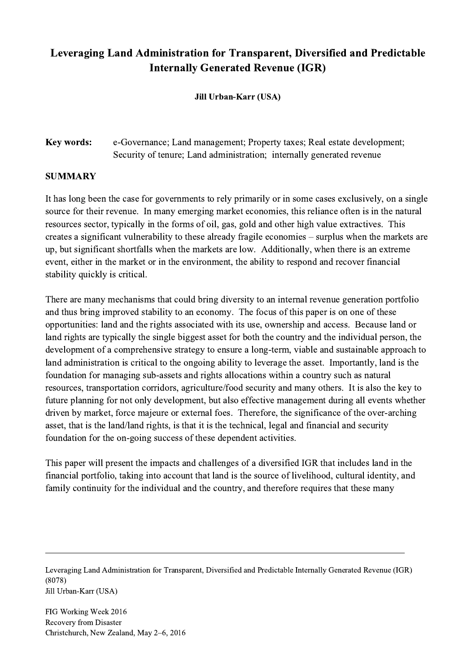## Leveraging Land Administration for Transparent, Diversified and Predictable Internally Generated Revenue (IGR)

Jill Urban-Karr (USA)

Key words: e-Governance; Land management; Property taxes; Real estate development; Security of tenure; Land administration; internally generated revenue

## SUMMARY

It has long been the case for governments to rely primarily or in some cases exclusively, on a single source for their revenue. In many emerging market economies, this reliance often is in the natural resources sector, typically in the forms of oil, gas, gold and other high value extractives. This creates a significant vulnerability to these already fragile economies – surplus when the markets are up, but significant shortfalls when the markets are low. Additionally, when there is an extreme event, either in the market or in the environment, the ability to respond and recover financial stability quickly is critical.

There are many mechanisms that could bring diversity to an internal revenue generation portfolio and thus bring improved stability to an economy. The focus of this paper is on one of these opportunities: land and the rights associated with its use, ownership and access. Because land or land rights are typically the single biggest asset for both the country and the individual person, the development of a comprehensive strategy to ensure a long-term, viable and sustainable approach to land administration is critical to the ongoing ability to leverage the asset. Importantly, land is the foundation for managing sub-assets and rights allocations within a country such as natural resources, transportation corridors, agriculture/food security and many others. It is also the key to future planning for not only development, but also effective management during all events whether driven by market, force majeure or external foes. Therefore, the significance of the over-arching asset, that is the land/land rights, is that it is the technical, legal and financial and security foundation for the on-going success of these dependent activities.

This paper will present the impacts and challenges of a diversified IGR that includes land in the financial portfolio, taking into account that land is the source of livelihood, cultural identity, and family continuity for the individual and the country, and therefore requires that these many

Leveraging Land Administration for Transparent, Diversified and Predictable Internally Generated Revenue (IGR) (8078) Jill Urban-Karr (USA)

 $\mathcal{L}_\mathcal{L} = \{ \mathcal{L}_\mathcal{L} = \{ \mathcal{L}_\mathcal{L} = \{ \mathcal{L}_\mathcal{L} = \{ \mathcal{L}_\mathcal{L} = \{ \mathcal{L}_\mathcal{L} = \{ \mathcal{L}_\mathcal{L} = \{ \mathcal{L}_\mathcal{L} = \{ \mathcal{L}_\mathcal{L} = \{ \mathcal{L}_\mathcal{L} = \{ \mathcal{L}_\mathcal{L} = \{ \mathcal{L}_\mathcal{L} = \{ \mathcal{L}_\mathcal{L} = \{ \mathcal{L}_\mathcal{L} = \{ \mathcal{L}_\mathcal{$ 

FIG Working Week 2016 Recovery from Disaster Christchurch, New Zealand, May 2–6, 2016